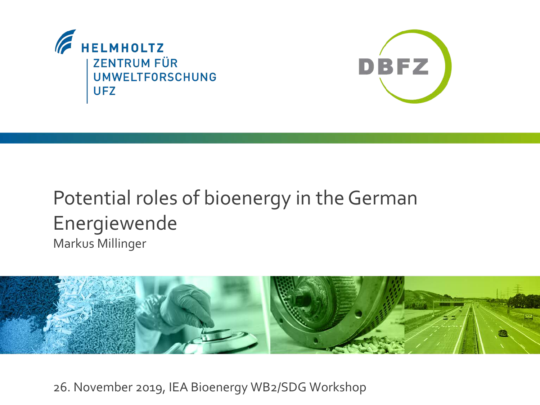



### Potential roles of bioenergy in the German Energiewende Markus Millinger



26. November 2019, IEA Bioenergy WB2/SDG Workshop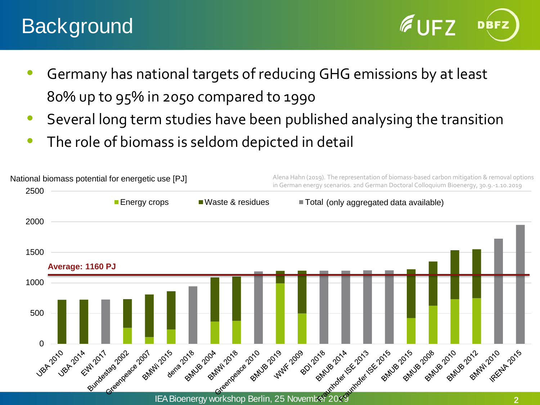## **Background**

- Germany has national targets of reducing GHG emissions by at least 80% up to 95% in 2050 compared to 1990
- Several long term studies have been published analysing the transition
- The role of biomass is seldom depicted in detail

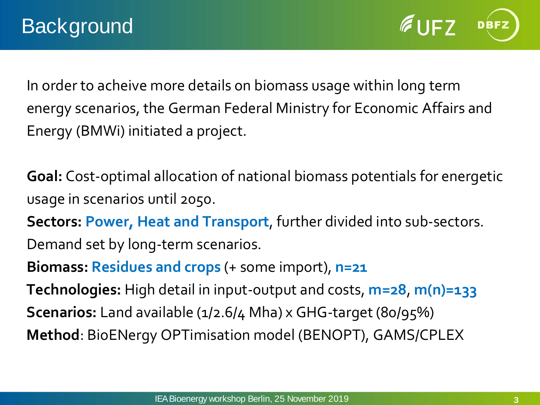$61F7$ 

In order to acheive more details on biomass usage within long term energy scenarios, the German Federal Ministry for Economic Affairs and Energy (BMWi) initiated a project.

**Goal:** Cost-optimal allocation of national biomass potentials for energetic usage in scenarios until 2050.

**Sectors: Power, Heat and Transport**, further divided into sub-sectors.

Demand set by long-term scenarios.

**Biomass: Residues and crops** (+ some import), **n=21**

**Technologies:** High detail in input-output and costs, **m=28**, **m(n)=133 Scenarios:** Land available (1/2.6/4 Mha) x GHG-target (80/95%) **Method**: BioENergy OPTimisation model (BENOPT), GAMS/CPLEX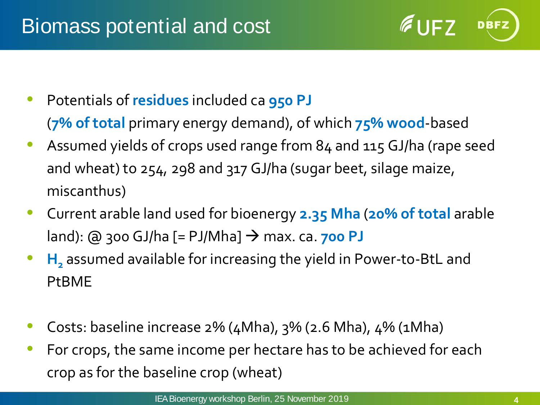$6$ UFZ

- Potentials of **residues** included ca **950 PJ** (**7% of total** primary energy demand), of which **75% wood**-based
- Assumed yields of crops used range from 84 and 115 GJ/ha (rape seed and wheat) to 254, 298 and 317 GJ/ha (sugar beet, silage maize, miscanthus)
- Current arable land used for bioenergy **2.35 Mha** (**20% of total** arable land): @ 300 GJ/ha [= PJ/Mha] → max. ca. **700 PJ**
- **H**<sub>2</sub> assumed available for increasing the yield in Power-to-BtL and PtBME
- Costs: baseline increase  $2\%$  (4Mha),  $3\%$  (2.6 Mha), 4% (1Mha)
- For crops, the same income per hectare has to be achieved for each crop as for the baseline crop (wheat)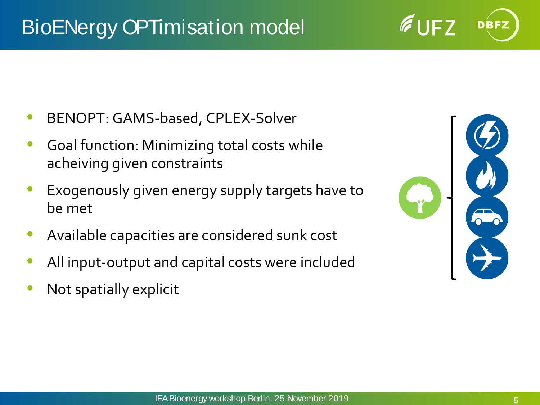## BioENergy OPTimisation model

- BENOPT: GAMS-based, CPLEX-Solver
- Goal function: Minimizing total costs while acheiving given constraints
- Exogenously given energy supply targets have to be met
- Available capacities are considered sunk cost
- All input-output and capital costs were included
- Not spatially explicit



 $6$  UF7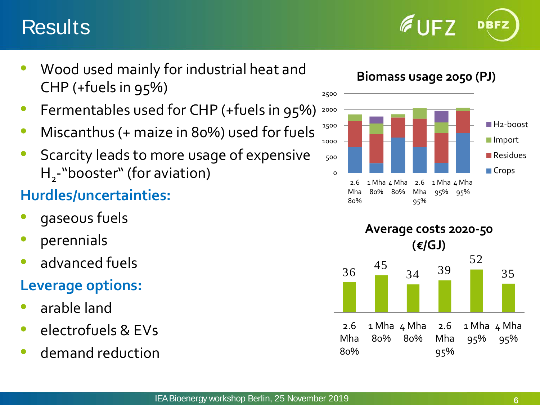## **Results**



- Fermentables used for CHP (+fuels in 95%)
- Miscanthus (+ maize in 80%) used for fuels
- Scarcity leads to more usage of expensive H<sub>2</sub>-"booster" (for aviation)

#### **Hurdles/uncertainties:**

- gaseous fuels
- perennials
- advanced fuels

#### **Leverage options:**

- arable land
- electrofuels & EVs
- demand reduction

**Biomass usage 2050 (PJ)**

 $6$  UFZ

DBFZ



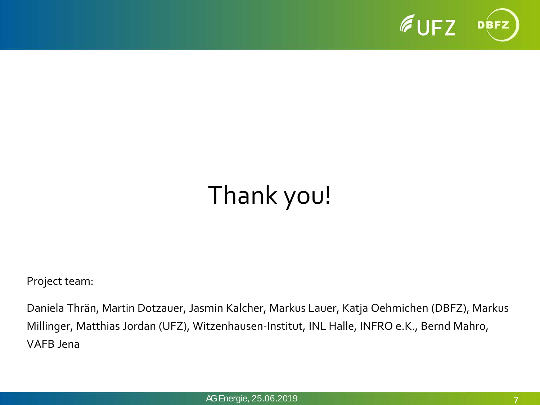

# Thank you!

Project team:

Daniela Thrän, Martin Dotzauer, Jasmin Kalcher, Markus Lauer, Katja Oehmichen (DBFZ), Markus Millinger, Matthias Jordan (UFZ), Witzenhausen-Institut, INL Halle, INFRO e.K., Bernd Mahro, VAFB Jena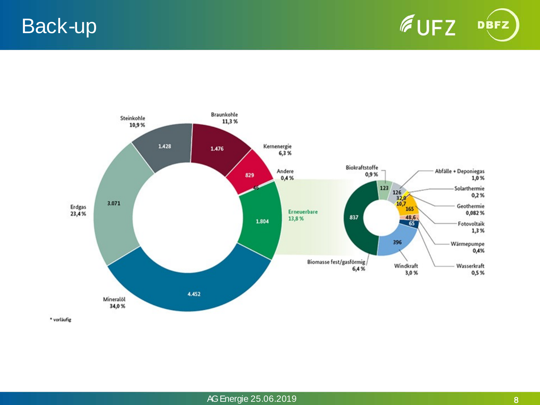Back-up





\* vorläufig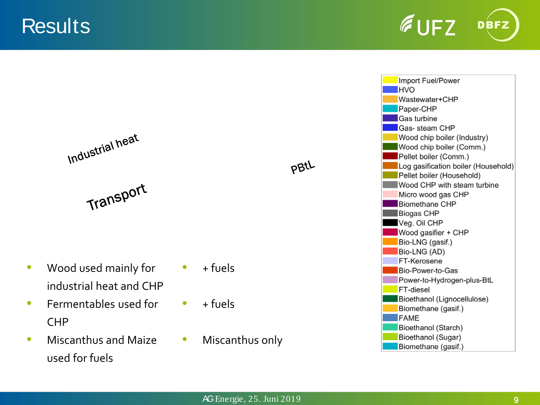**Results** 



Import Fuel/Power **HVO** Wastewater+CHP Paper-CHP **Gas turbine Gas-** steam CHP Wood chip boiler (Industry) Wood chip boiler (Comm.) Pellet boiler (Comm.) Log gasification boiler (Household) Pellet boiler (Household) Wood CHP with steam turbine Micro wood gas CHP **Biomethane CHP Biogas CHP** Veg. Oil CHP Wood gasifier + CHP Bio-LNG (gasif.) Bio-LNG (AD) FT-Kerosene **Bio-Power-to-Gas** Power-to-Hydrogen-plus-BtL **FT-diesel** Bioethanol (Lignocellulose) Biomethane (gasif.) **FAME** Bioethanol (Starch) Bioethanol (Sugar) Biomethane (gasif.)

Industrial heat

Transport

- Wood used mainly for industrial heat and CHP
- Fermentables used for CHP
- Miscanthus and Maize used for fuels
- $+$  fuels
- $+ f^{11}$
- Miscanthus only

pBtL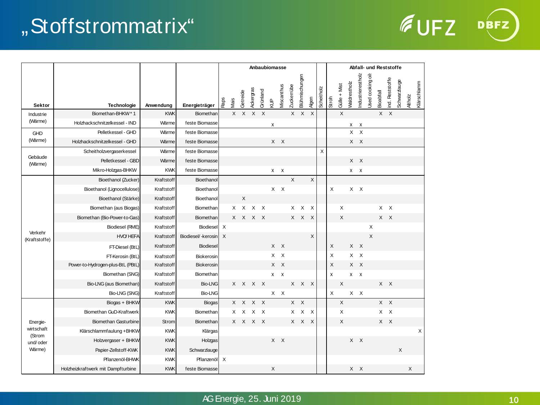## "Stoffstrommatrix"

| <b>EUFZ</b> | DBFZ) |
|-------------|-------|
|             |       |

|                                                        |                                    |            |                    | Anbaubiomasse             |              |                           |                 |            |        |              |                   |                |                           |            | Abfall- und Reststoffe |                |                     |                   |                          |              |                 |              |               |             |  |  |
|--------------------------------------------------------|------------------------------------|------------|--------------------|---------------------------|--------------|---------------------------|-----------------|------------|--------|--------------|-------------------|----------------|---------------------------|------------|------------------------|----------------|---------------------|-------------------|--------------------------|--------------|-----------------|--------------|---------------|-------------|--|--|
| <b>Sektor</b>                                          | Technologie                        | Anwendung  | Energieträger      | <b>Raps</b>               | Mais         | Getreide                  | Ackergras       | Grünland   | 원<br>오 | Miscanthus   | <b>Zuckerrübe</b> | Blühmischungen | Agen                      | Scheitholz | Stroft                 | $Gülle + Mist$ | <b>Waldrestholz</b> | Industrierestholz | <b>Used cooking oils</b> | Bioabfall    | ind. Reststoffe | Schwarzlauge | <b>Atholz</b> | Klärschlamm |  |  |
| Industrie                                              | Biomethan-BHKW*1                   | <b>KWK</b> | Biomethan          |                           | $\mathsf{X}$ | $\boldsymbol{\mathsf{X}}$ |                 | $X$ $X$    |        |              |                   | $X$ $X$        | $\boldsymbol{\mathsf{X}}$ |            |                        | $\sf X$        |                     |                   |                          |              | $X$ $X$         |              |               |             |  |  |
| (Wärme)                                                | Holzhackschnitzelkessel - IND      | Wärme      | feste Biomasse     |                           |              |                           |                 |            | X      |              |                   |                |                           |            |                        |                |                     | $X$ X             |                          |              |                 |              |               |             |  |  |
| <b>GHD</b><br>(Wärme)                                  | Pelletkessel - GHD                 | Wärme      | feste Biomasse     |                           |              |                           |                 |            |        |              |                   |                |                           |            |                        |                |                     | $X \times X$      |                          |              |                 |              |               |             |  |  |
|                                                        | Holzhackschnitzelkessel - GHD      | Wärme      | feste Biomasse     |                           |              |                           |                 |            |        | $X$ $X$      |                   |                |                           |            |                        |                |                     | $X$ $X$           |                          |              |                 |              |               |             |  |  |
| Gebäude<br>(Wärme)                                     | Scheitholzvergaserkessel           | Wärme      | feste Biomasse     |                           |              |                           |                 |            |        |              |                   |                |                           | X          |                        |                |                     |                   |                          |              |                 |              |               |             |  |  |
|                                                        | Pelletkessel - GBD                 | Wärme      | feste Biomasse     |                           |              |                           |                 |            |        |              |                   |                |                           |            |                        |                |                     | $X \times$        |                          |              |                 |              |               |             |  |  |
|                                                        | Mikro-Holzgas-BHKW                 | <b>KWK</b> | feste Biomasse     |                           |              |                           |                 |            |        | $X$ X        |                   |                |                           |            |                        |                |                     | $X$ $X$           |                          |              |                 |              |               |             |  |  |
|                                                        | Bioethanol (Zucker)                | Kraftstoff | Bioethanol         |                           |              |                           |                 |            |        |              | $\times$          |                | X                         |            |                        |                |                     |                   |                          |              |                 |              |               |             |  |  |
|                                                        | Bioethanol (Lignocellulose)        | Kraftstoff | Bioethanol         |                           |              |                           |                 |            |        | $X$ $X$      |                   |                |                           |            | X                      |                |                     | $X$ $X$           |                          |              |                 |              |               |             |  |  |
|                                                        | Bioethanol (Stärke)                | Kraftstoff | Bioethanol         |                           |              | X                         |                 |            |        |              |                   |                |                           |            |                        |                |                     |                   |                          |              |                 |              |               |             |  |  |
|                                                        | Biomethan (aus Biogas)             | Kraftstoff | Biomethan          |                           |              | $X$ $X$                   |                 | $X \times$ |        |              |                   | $X$ $X$ $X$    |                           |            |                        | X              |                     |                   |                          |              | $X$ $X$         |              |               |             |  |  |
|                                                        | Biomethan (Bio-Power-to-Gas)       | Kraftstoff | Biomethan          |                           |              |                           | $X$ $X$ $X$ $X$ |            |        |              |                   | X X X          |                           |            |                        | X              |                     |                   |                          |              | $X$ $X$         |              |               |             |  |  |
| Verkehr                                                | Biodiesel (RME)                    | Kraftstoff | Biodiesel          | X                         |              |                           |                 |            |        |              |                   |                |                           |            |                        |                |                     |                   |                          | X            |                 |              |               |             |  |  |
| (Kraftstoffe)                                          | <b>HVO HEFA</b>                    | Kraftstoff | Biodiesel/-kerosin | $\times$                  |              |                           |                 |            |        |              |                   |                | X                         |            |                        |                |                     |                   |                          | $\mathsf{X}$ |                 |              |               |             |  |  |
|                                                        | FT-Diesel (BtL)                    | Kraftstoff | <b>Biodiesel</b>   |                           |              |                           |                 |            |        | $X \times X$ |                   |                |                           |            | X                      |                |                     | $X$ $X$           |                          |              |                 |              |               |             |  |  |
|                                                        | FT-Kerosin (BtL)                   | Kraftstoff | Biokerosin         |                           |              |                           |                 |            |        | $X$ $X$      |                   |                |                           |            | X                      |                | $\mathsf{X}$        | $\mathsf{X}$      |                          |              |                 |              |               |             |  |  |
|                                                        | Power-to-Hydrogen-plus-BtL (PBtL)  | Kraftstoff | Biokerosin         |                           |              |                           |                 |            |        | X X          |                   |                |                           |            | X                      |                |                     | X X               |                          |              |                 |              |               |             |  |  |
|                                                        | Biomethan (SNG)                    | Kraftstoff | Biomethan          |                           |              |                           |                 |            |        | $X$ $X$      |                   |                |                           |            | $\pmb{\times}$         |                |                     | $X$ $X$           |                          |              |                 |              |               |             |  |  |
|                                                        | Bio-LNG (aus Biomethan)            | Kraftstoff | <b>Bio-LNG</b>     |                           |              |                           | X X X X         |            |        |              |                   | X X X          |                           |            |                        | X              |                     |                   |                          |              | X X             |              |               |             |  |  |
|                                                        | Bio-LNG (SNG)                      | Kraftstoff | <b>Bio-LNG</b>     |                           |              |                           |                 |            |        | $X$ $X$      |                   |                |                           |            | X                      |                |                     | $X$ $X$           |                          |              |                 |              |               |             |  |  |
| Energie-<br>wirtschaft<br>(Strom<br>und/oder<br>Wärme) | Biogas + BHKW                      | <b>KWK</b> | Biogas             |                           |              |                           | $X$ $X$ $X$ $X$ |            |        |              |                   | $X$ $X$        |                           |            |                        | X              |                     |                   |                          |              | $X$ $X$         |              |               |             |  |  |
|                                                        | Biomethan GuD-Kraftwerk            | <b>KWK</b> | Biomethan          |                           |              |                           | x x x x         |            |        |              |                   | $X$ $X$ $X$    |                           |            |                        | X              |                     |                   |                          |              | $X$ $X$         |              |               |             |  |  |
|                                                        | <b>Biomethan Gasturbine</b>        | Strom      | Biomethan          |                           |              |                           | X X X X         |            |        |              |                   | X X X          |                           |            |                        | X              |                     |                   |                          |              | X X             |              |               |             |  |  |
|                                                        | Klärschlammfaulung + BHKW          | <b>KWK</b> | Klärgas            |                           |              |                           |                 |            |        |              |                   |                |                           |            |                        |                |                     |                   |                          |              |                 |              |               | X           |  |  |
|                                                        | Holzvergaser + BHKW                | <b>KWK</b> | Holzgas            |                           |              |                           |                 |            |        | X X          |                   |                |                           |            |                        |                |                     | $X$ $X$           |                          |              |                 |              |               |             |  |  |
|                                                        | Papier-Zellstoff-KWK               | <b>KWK</b> | Schwarzlauge       |                           |              |                           |                 |            |        |              |                   |                |                           |            |                        |                |                     |                   |                          |              |                 | $\times$     |               |             |  |  |
|                                                        | Pflanzenöl-BHWK                    | <b>KWK</b> | Pflanzenöl         | $\boldsymbol{\mathsf{X}}$ |              |                           |                 |            |        |              |                   |                |                           |            |                        |                |                     |                   |                          |              |                 |              |               |             |  |  |
|                                                        | Holzheizkraftwerk mit Dampfturbine | <b>KWK</b> | feste Biomasse     |                           |              |                           |                 |            | X      |              |                   |                |                           |            |                        |                |                     | X X               |                          |              |                 |              | X             |             |  |  |